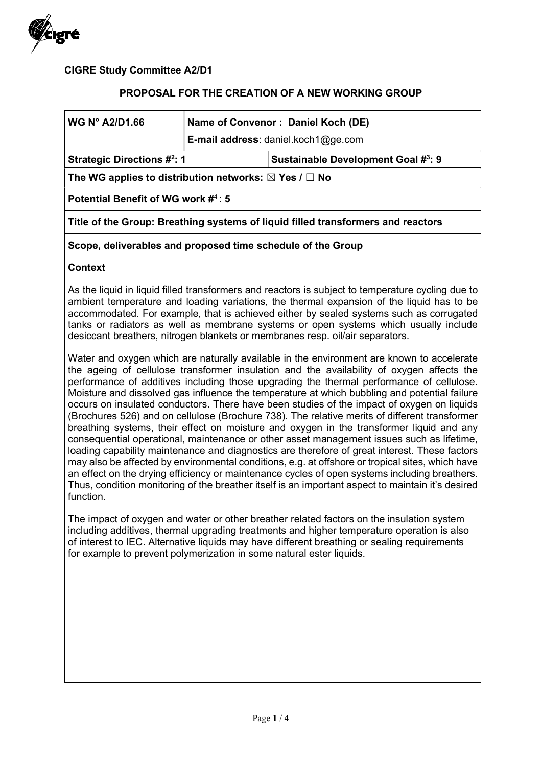

CIGRE Study Committee A2/D1

### PROPOSAL FOR THE CREATION OF A NEW WORKING GROUP

| <b>WG N° A2/D1.66</b>                                                            | Name of Convenor: Daniel Koch (DE)<br>E-mail address: daniel.koch1@ge.com |                                    |  |
|----------------------------------------------------------------------------------|---------------------------------------------------------------------------|------------------------------------|--|
| <b>Strategic Directions #2: 1</b>                                                |                                                                           | Sustainable Development Goal #3: 9 |  |
| The WG applies to distribution networks: $\boxtimes$ Yes / $\Box$ No             |                                                                           |                                    |  |
| Potential Benefit of WG work $\sharp^4$ : 5                                      |                                                                           |                                    |  |
| Title of the Group: Breathing systems of liquid filled transformers and reactors |                                                                           |                                    |  |

### Scope, deliverables and proposed time schedule of the Group

### **Context**

As the liquid in liquid filled transformers and reactors is subject to temperature cycling due to ambient temperature and loading variations, the thermal expansion of the liquid has to be accommodated. For example, that is achieved either by sealed systems such as corrugated tanks or radiators as well as membrane systems or open systems which usually include desiccant breathers, nitrogen blankets or membranes resp. oil/air separators.

Water and oxygen which are naturally available in the environment are known to accelerate the ageing of cellulose transformer insulation and the availability of oxygen affects the performance of additives including those upgrading the thermal performance of cellulose. Moisture and dissolved gas influence the temperature at which bubbling and potential failure occurs on insulated conductors. There have been studies of the impact of oxygen on liquids (Brochures 526) and on cellulose (Brochure 738). The relative merits of different transformer breathing systems, their effect on moisture and oxygen in the transformer liquid and any consequential operational, maintenance or other asset management issues such as lifetime, loading capability maintenance and diagnostics are therefore of great interest. These factors may also be affected by environmental conditions, e.g. at offshore or tropical sites, which have an effect on the drying efficiency or maintenance cycles of open systems including breathers. Thus, condition monitoring of the breather itself is an important aspect to maintain it's desired function.

The impact of oxygen and water or other breather related factors on the insulation system including additives, thermal upgrading treatments and higher temperature operation is also of interest to IEC. Alternative liquids may have different breathing or sealing requirements for example to prevent polymerization in some natural ester liquids.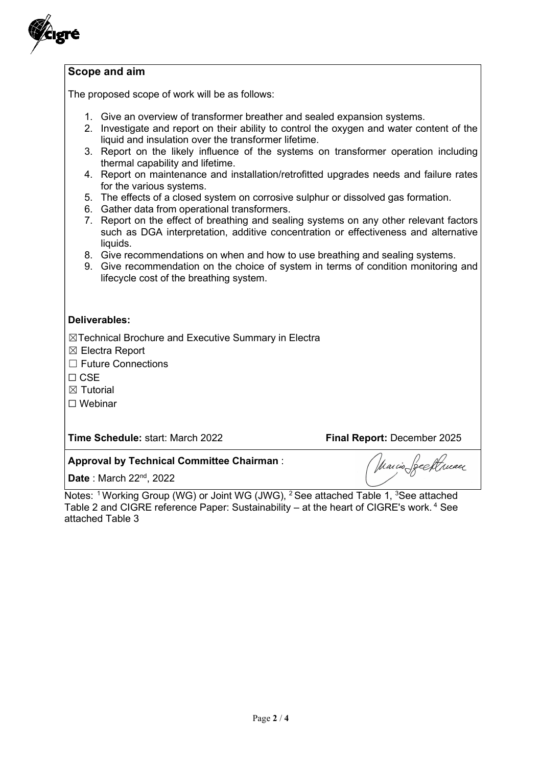

## Scope and aim

The proposed scope of work will be as follows:

- 1. Give an overview of transformer breather and sealed expansion systems.
- 2. Investigate and report on their ability to control the oxygen and water content of the liquid and insulation over the transformer lifetime.
- 3. Report on the likely influence of the systems on transformer operation including thermal capability and lifetime.
- 4. Report on maintenance and installation/retrofitted upgrades needs and failure rates for the various systems.
- 5. The effects of a closed system on corrosive sulphur or dissolved gas formation.
- 6. Gather data from operational transformers.
- 7. Report on the effect of breathing and sealing systems on any other relevant factors such as DGA interpretation, additive concentration or effectiveness and alternative liquids.
- 8. Give recommendations on when and how to use breathing and sealing systems.
- 9. Give recommendation on the choice of system in terms of condition monitoring and lifecycle cost of the breathing system.

#### Deliverables:

☒Technical Brochure and Executive Summary in Electra

☒ Electra Report

☐ Future Connections

☐ CSE

 $<sup>8</sup>$  Tutorial</sup>

☐ Webinar

Time Schedule: start: March 2022 Final Report: December 2025

Marcio Seeptruaer

## Approval by Technical Committee Chairman :

Date: March 22<sup>nd</sup>, 2022

Notes: <sup>1</sup> Working Group (WG) or Joint WG (JWG), <sup>2</sup> See attached Table 1, <sup>3</sup>See attached Table 2 and CIGRE reference Paper: Sustainability – at the heart of CIGRE's work.<sup>4</sup> See attached Table 3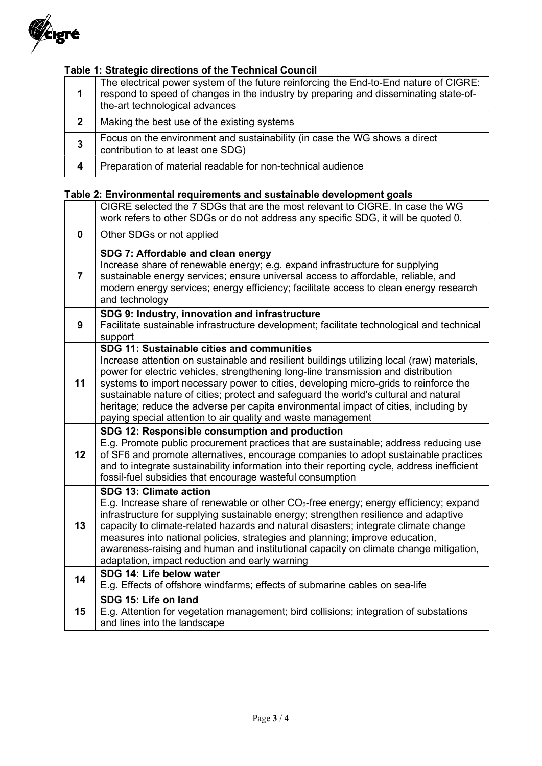

# Table 1: Strategic directions of the Technical Council

| 1            | The electrical power system of the future reinforcing the End-to-End nature of CIGRE:<br>respond to speed of changes in the industry by preparing and disseminating state-of-<br>the-art technological advances |
|--------------|-----------------------------------------------------------------------------------------------------------------------------------------------------------------------------------------------------------------|
| $\mathbf{2}$ | Making the best use of the existing systems                                                                                                                                                                     |
| 3            | Focus on the environment and sustainability (in case the WG shows a direct<br>contribution to at least one SDG)                                                                                                 |
| 4            | Preparation of material readable for non-technical audience                                                                                                                                                     |

## Table 2: Environmental requirements and sustainable development goals

|                | CIGRE selected the 7 SDGs that are the most relevant to CIGRE. In case the WG<br>work refers to other SDGs or do not address any specific SDG, it will be quoted 0.                                                                                                                                                                                                                                                                                                                                                                                                    |
|----------------|------------------------------------------------------------------------------------------------------------------------------------------------------------------------------------------------------------------------------------------------------------------------------------------------------------------------------------------------------------------------------------------------------------------------------------------------------------------------------------------------------------------------------------------------------------------------|
| 0              | Other SDGs or not applied                                                                                                                                                                                                                                                                                                                                                                                                                                                                                                                                              |
| $\overline{7}$ | SDG 7: Affordable and clean energy<br>Increase share of renewable energy; e.g. expand infrastructure for supplying<br>sustainable energy services; ensure universal access to affordable, reliable, and<br>modern energy services; energy efficiency; facilitate access to clean energy research<br>and technology                                                                                                                                                                                                                                                     |
| 9              | SDG 9: Industry, innovation and infrastructure<br>Facilitate sustainable infrastructure development; facilitate technological and technical<br>support                                                                                                                                                                                                                                                                                                                                                                                                                 |
| 11             | SDG 11: Sustainable cities and communities<br>Increase attention on sustainable and resilient buildings utilizing local (raw) materials,<br>power for electric vehicles, strengthening long-line transmission and distribution<br>systems to import necessary power to cities, developing micro-grids to reinforce the<br>sustainable nature of cities; protect and safeguard the world's cultural and natural<br>heritage; reduce the adverse per capita environmental impact of cities, including by<br>paying special attention to air quality and waste management |
| 12             | SDG 12: Responsible consumption and production<br>E.g. Promote public procurement practices that are sustainable; address reducing use<br>of SF6 and promote alternatives, encourage companies to adopt sustainable practices<br>and to integrate sustainability information into their reporting cycle, address inefficient<br>fossil-fuel subsidies that encourage wasteful consumption                                                                                                                                                                              |
| 13             | SDG 13: Climate action<br>E.g. Increase share of renewable or other CO <sub>2</sub> -free energy; energy efficiency; expand<br>infrastructure for supplying sustainable energy; strengthen resilience and adaptive<br>capacity to climate-related hazards and natural disasters; integrate climate change<br>measures into national policies, strategies and planning; improve education,<br>awareness-raising and human and institutional capacity on climate change mitigation,<br>adaptation, impact reduction and early warning                                    |
| 14             | SDG 14: Life below water<br>E.g. Effects of offshore windfarms; effects of submarine cables on sea-life                                                                                                                                                                                                                                                                                                                                                                                                                                                                |
| 15             | SDG 15: Life on land<br>E.g. Attention for vegetation management; bird collisions; integration of substations<br>and lines into the landscape                                                                                                                                                                                                                                                                                                                                                                                                                          |